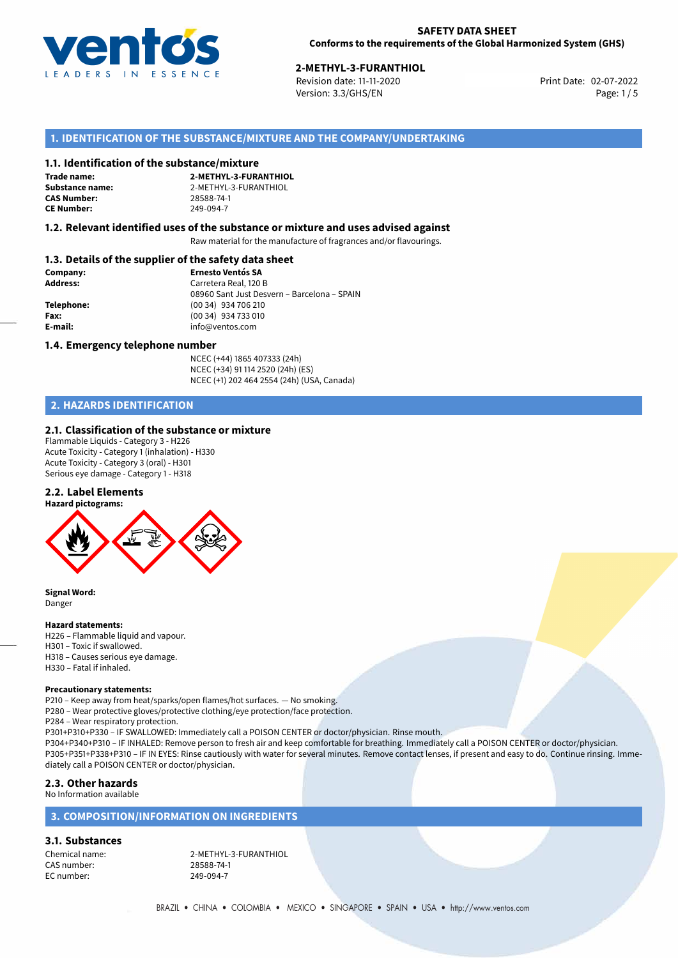

02-07-2022 **2-METHYL-3-FURANTHIOL** Revision date: 11-11-2020 Print Date: Version: 3.3/GHS/EN Page: 1/5

# **1. IDENTIFICATION OF THE SUBSTANCE/MIXTURE AND THE COMPANY/UNDERTAKING**

#### **1.1. Identification of the substance/mixture**

**Trade name: CAS Number: CE Number:** 249-094-7

**2-METHYL-3-FURANTHIOL Substance name:** 2-METHYL-3-FURANTHIOL<br> **CAS Number:** 28588-74-1

#### **1.2. Relevant identified uses of the substance or mixture and uses advised against**

Raw material for the manufacture of fragrances and/or flavourings.

## **1.3. Details of the supplier of the safety data sheet**

| Company:        | <b>Ernesto Ventós SA</b>                    |  |
|-----------------|---------------------------------------------|--|
| <b>Address:</b> | Carretera Real, 120 B                       |  |
|                 | 08960 Sant Just Desvern - Barcelona - SPAIN |  |
| Telephone:      | (00 34) 934 706 210                         |  |
| Fax:            | (00 34) 934 733 010                         |  |
| E-mail:         | info@ventos.com                             |  |
|                 |                                             |  |

#### **1.4. Emergency telephone number**

NCEC (+44) 1865 407333 (24h) NCEC (+34) 91 114 2520 (24h) (ES) NCEC (+1) 202 464 2554 (24h) (USA, Canada)

# **2. HAZARDS IDENTIFICATION**

#### **2.1. Classification of the substance or mixture**

Flammable Liquids - Category 3 - H226 Acute Toxicity - Category 1 (inhalation) - H330 Acute Toxicity - Category 3 (oral) - H301 Serious eye damage - Category 1 - H318

### **2.2. Label Elements**



**Signal Word:** Danger

#### **Hazard statements:**

H226 – Flammable liquid and vapour. H301 – Toxic if swallowed. H318 – Causes serious eye damage. H330 – Fatal if inhaled.

#### **Precautionary statements:**

P210 – Keep away from heat/sparks/open flames/hot surfaces. — No smoking.

- P280 Wear protective gloves/protective clothing/eye protection/face protection.
- P284 Wear respiratory protection.

P301+P310+P330 – IF SWALLOWED: Immediately call a POISON CENTER or doctor/physician. Rinse mouth.

P304+P340+P310 – IF INHALED: Remove person to fresh air and keep comfortable for breathing. Immediately call a POISON CENTER or doctor/physician. P305+P351+P338+P310 – IF IN EYES: Rinse cautiously with water for several minutes. Remove contact lenses, if present and easy to do. Continue rinsing. Immediately call a POISON CENTER or doctor/physician.

# **2.3. Other hazards**

No Information available

# **3. COMPOSITION/INFORMATION ON INGREDIENTS**

### **3.1. Substances**

CAS number: EC number: 249-094-7

Chemical name: 2-METHYL-3-FURANTHIOL<br>CAS number: 28588-74-1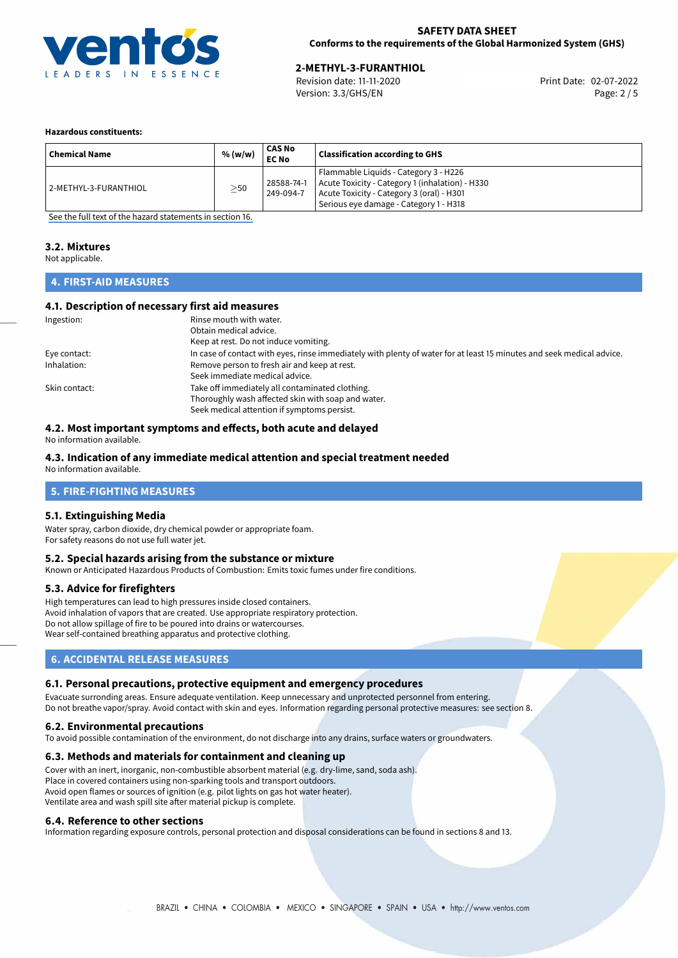

**2-METHYL-3-FURANTHIOL**<br>
Revision date: 11-11-2020 **Print Date: 02-07-2022** Version: 3.3/GHS/EN Page: 2 / 5

#### **Hazardous constituents:**

| <b>Chemical Name</b>  | % (w/w)   | <b>CAS No</b><br><b>EC No</b> | <b>Classification according to GHS</b>                                                                                                                                          |
|-----------------------|-----------|-------------------------------|---------------------------------------------------------------------------------------------------------------------------------------------------------------------------------|
| 2-METHYL-3-FURANTHIOL | $\geq$ 50 | 28588-74-1<br>249-094-7       | Flammable Liquids - Category 3 - H226<br>Acute Toxicity - Category 1 (inhalation) - H330<br>Acute Toxicity - Category 3 (oral) - H301<br>Serious eye damage - Category 1 - H318 |

[See the full text of the hazard statements in section 16.](#page-4-0)

# **3.2. Mixtures**

Not applicable.

# **4. FIRST-AID MEASURES**

#### **4.1. Description of necessary first aid measures**

| Ingestion:    | Rinse mouth with water.                                                                                               |
|---------------|-----------------------------------------------------------------------------------------------------------------------|
|               | Obtain medical advice.                                                                                                |
|               | Keep at rest. Do not induce vomiting.                                                                                 |
| Eye contact:  | In case of contact with eyes, rinse immediately with plenty of water for at least 15 minutes and seek medical advice. |
| Inhalation:   | Remove person to fresh air and keep at rest.                                                                          |
|               | Seek immediate medical advice.                                                                                        |
| Skin contact: | Take off immediately all contaminated clothing.                                                                       |
|               | Thoroughly wash affected skin with soap and water.                                                                    |
|               | Seek medical attention if symptoms persist.                                                                           |

## **4.2. Most important symptoms and effects, both acute and delayed**

No information available.

# **4.3. Indication of any immediate medical attention and special treatment needed**

No information available.

## **5. FIRE-FIGHTING MEASURES**

#### **5.1. Extinguishing Media**

Water spray, carbon dioxide, dry chemical powder or appropriate foam. For safety reasons do not use full water jet.

#### **5.2. Special hazards arising from the substance or mixture**

Known or Anticipated Hazardous Products of Combustion: Emits toxic fumes under fire conditions.

#### **5.3. Advice for firefighters**

High temperatures can lead to high pressures inside closed containers. Avoid inhalation of vapors that are created. Use appropriate respiratory protection. Do not allow spillage of fire to be poured into drains or watercourses. Wear self-contained breathing apparatus and protective clothing.

# **6. ACCIDENTAL RELEASE MEASURES**

#### **6.1. Personal precautions, protective equipment and emergency procedures**

Evacuate surronding areas. Ensure adequate ventilation. Keep unnecessary and unprotected personnel from entering. Do not breathe vapor/spray. Avoid contact with skin and eyes. Information regarding personal protective measures: see section 8.

#### **6.2. Environmental precautions**

To avoid possible contamination of the environment, do not discharge into any drains, surface waters or groundwaters.

#### **6.3. Methods and materials for containment and cleaning up**

Cover with an inert, inorganic, non-combustible absorbent material (e.g. dry-lime, sand, soda ash). Place in covered containers using non-sparking tools and transport outdoors. Avoid open flames or sources of ignition (e.g. pilot lights on gas hot water heater). Ventilate area and wash spill site after material pickup is complete.

#### **6.4. Reference to other sections**

Information regarding exposure controls, personal protection and disposal considerations can be found in sections 8 and 13.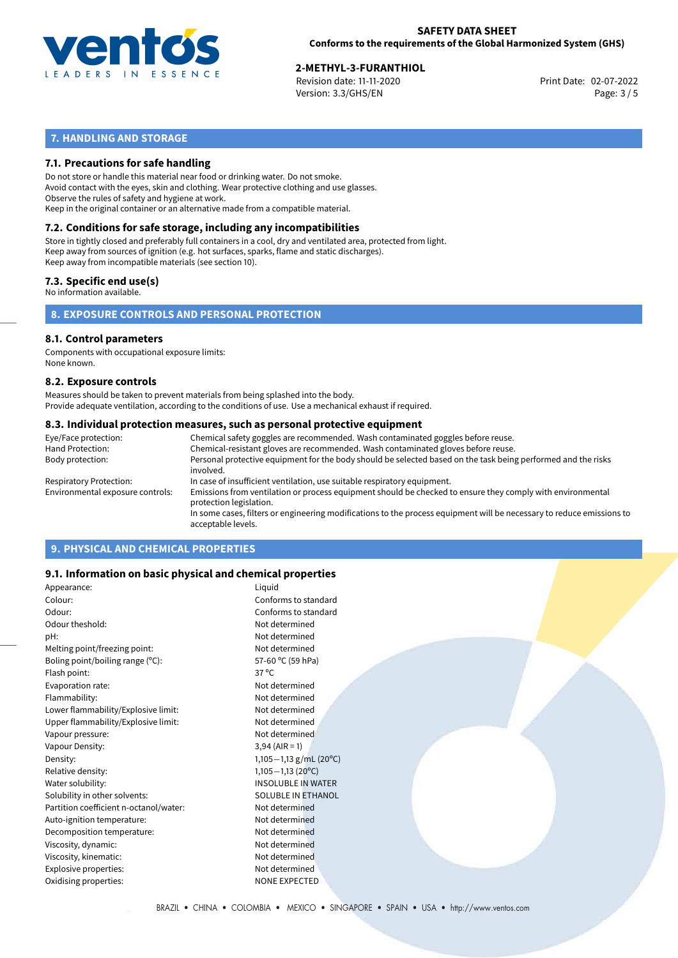

# **2-METHYL-3-FURANTHIOL**<br>
Revision date: 11-11-2020<br> **2-METHYL-2022** Print Date: 02-07-2022

Revision date: 11-11-2020 Version: 3.3/GHS/EN Page: 3 / 5

# **7. HANDLING AND STORAGE**

### **7.1. Precautions for safe handling**

Do not store or handle this material near food or drinking water. Do not smoke. Avoid contact with the eyes, skin and clothing. Wear protective clothing and use glasses. Observe the rules of safety and hygiene at work. Keep in the original container or an alternative made from a compatible material.

# **7.2. Conditions for safe storage, including any incompatibilities**

Store in tightly closed and preferably full containers in a cool, dry and ventilated area, protected from light. Keep away from sources of ignition (e.g. hot surfaces, sparks, flame and static discharges). Keep away from incompatible materials (see section 10).

### **7.3. Specific end use(s)**

No information available.

**8. EXPOSURE CONTROLS AND PERSONAL PROTECTION**

#### **8.1. Control parameters**

Components with occupational exposure limits: None known.

#### **8.2. Exposure controls**

Measures should be taken to prevent materials from being splashed into the body. Provide adequate ventilation, according to the conditions of use. Use a mechanical exhaust if required.

#### **8.3. Individual protection measures, such as personal protective equipment**

| Eye/Face protection:             | Chemical safety goggles are recommended. Wash contaminated goggles before reuse.                                                            |
|----------------------------------|---------------------------------------------------------------------------------------------------------------------------------------------|
| Hand Protection:                 | Chemical-resistant gloves are recommended. Wash contaminated gloves before reuse.                                                           |
| Body protection:                 | Personal protective equipment for the body should be selected based on the task being performed and the risks<br>involved.                  |
| Respiratory Protection:          | In case of insufficient ventilation, use suitable respiratory equipment.                                                                    |
| Environmental exposure controls: | Emissions from ventilation or process equipment should be checked to ensure they comply with environmental<br>protection legislation.       |
|                                  | In some cases, filters or engineering modifications to the process equipment will be necessary to reduce emissions to<br>acceptable levels. |
|                                  |                                                                                                                                             |

# **9. PHYSICAL AND CHEMICAL PROPERTIES**

#### **9.1. Information on basic physical and chemical properties**

| Appearance:                            | Liquid                    |
|----------------------------------------|---------------------------|
| Colour:                                | Conforms to standard      |
| Odour:                                 | Conforms to standard      |
| Odour theshold:                        | Not determined            |
| pH:                                    | Not determined            |
| Melting point/freezing point:          | Not determined            |
| Boling point/boiling range (°C):       | 57-60 °C (59 hPa)         |
| Flash point:                           | $37^{\circ}$ C            |
| Evaporation rate:                      | Not determined            |
| Flammability:                          | Not determined            |
| Lower flammability/Explosive limit:    | Not determined            |
| Upper flammability/Explosive limit:    | Not determined            |
| Vapour pressure:                       | Not determined            |
| Vapour Density:                        | $3,94 (AIR = 1)$          |
| Density:                               | 1,105-1,13 g/mL (20°C)    |
| Relative density:                      | $1,105-1,13(20^{\circ}C)$ |
| Water solubility:                      | <b>INSOLUBLE IN WATER</b> |
| Solubility in other solvents:          | <b>SOLUBLE IN ETHANOL</b> |
| Partition coefficient n-octanol/water: | Not determined            |
| Auto-ignition temperature:             | Not determined            |
| Decomposition temperature:             | Not determined            |
| Viscosity, dynamic:                    | Not determined            |
| Viscosity, kinematic:                  | Not determined            |
| Explosive properties:                  | Not determined            |
| Oxidising properties:                  | <b>NONE EXPECTED</b>      |
|                                        |                           |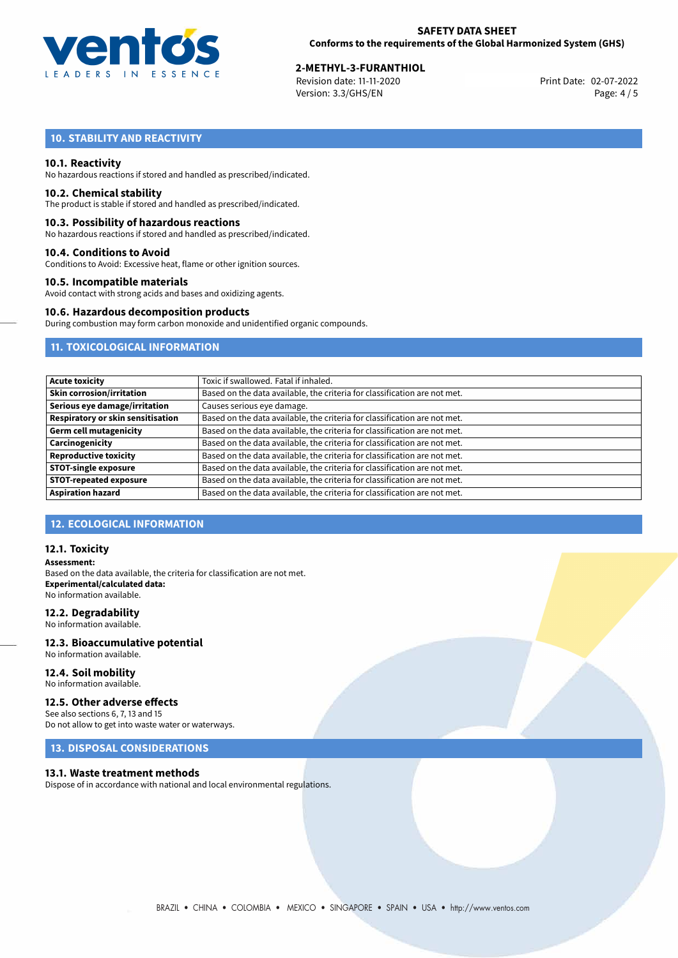

# **2-METHYL-3-FURANTHIOL**<br>
Revision date: 11-11-2020<br> **2-METHYL-2022** Print Date: 02-07-2022

Revision date: 11-11-2020 Version: 3.3/GHS/EN Page: 4 / 5

# **10. STABILITY AND REACTIVITY**

#### **10.1. Reactivity**

No hazardous reactions if stored and handled as prescribed/indicated.

#### **10.2. Chemical stability**

The product is stable if stored and handled as prescribed/indicated.

#### **10.3. Possibility of hazardous reactions**

No hazardous reactions if stored and handled as prescribed/indicated.

#### **10.4. Conditions to Avoid**

Conditions to Avoid: Excessive heat, flame or other ignition sources.

#### **10.5. Incompatible materials**

Avoid contact with strong acids and bases and oxidizing agents.

#### **10.6. Hazardous decomposition products**

During combustion may form carbon monoxide and unidentified organic compounds.

# **11. TOXICOLOGICAL INFORMATION**

| <b>Acute toxicity</b>             | Toxic if swallowed. Fatal if inhaled.                                     |
|-----------------------------------|---------------------------------------------------------------------------|
| <b>Skin corrosion/irritation</b>  | Based on the data available, the criteria for classification are not met. |
| Serious eye damage/irritation     | Causes serious eye damage.                                                |
| Respiratory or skin sensitisation | Based on the data available, the criteria for classification are not met. |
| Germ cell mutagenicity            | Based on the data available, the criteria for classification are not met. |
| Carcinogenicity                   | Based on the data available, the criteria for classification are not met. |
| <b>Reproductive toxicity</b>      | Based on the data available, the criteria for classification are not met. |
| <b>STOT-single exposure</b>       | Based on the data available, the criteria for classification are not met. |
| <b>STOT-repeated exposure</b>     | Based on the data available, the criteria for classification are not met. |
| <b>Aspiration hazard</b>          | Based on the data available, the criteria for classification are not met. |

#### **12. ECOLOGICAL INFORMATION**

#### **12.1. Toxicity**

**Assessment:** Based on the data available, the criteria for classification are not met. **Experimental/calculated data:** No information available.

#### **12.2. Degradability**

No information available.

#### **12.3. Bioaccumulative potential** No information available.

**12.4. Soil mobility**

# No information available.

#### **12.5. Other adverse effects**

See also sections 6, 7, 13 and 15 Do not allow to get into waste water or waterways.

# **13. DISPOSAL CONSIDERATIONS**

#### **13.1. Waste treatment methods**

Dispose of in accordance with national and local environmental regulations.